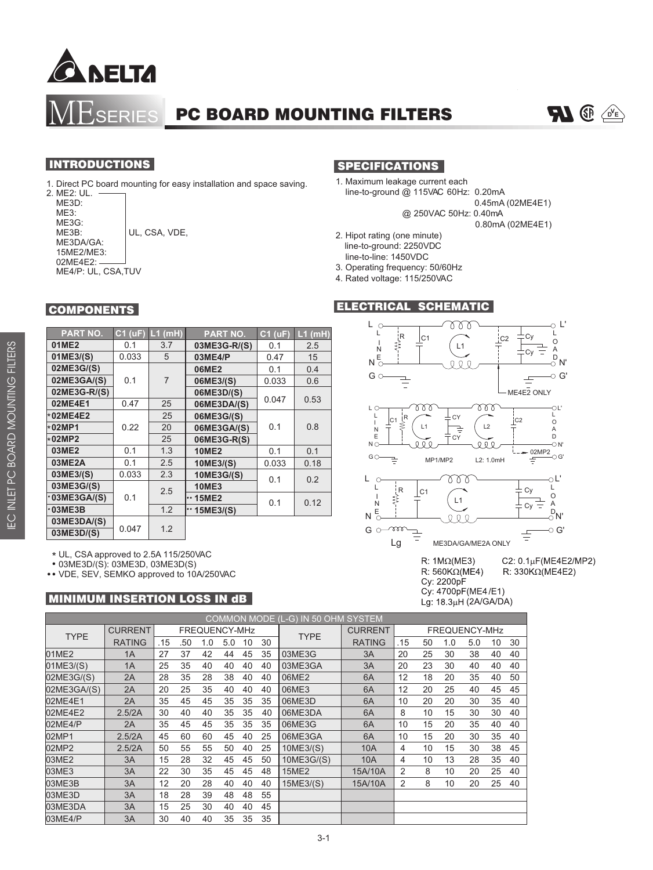

SERIES PC BOARD MOUNTING FILTERS

### **INTRODUCTIONS**

1. Direct PC board mounting for easy installation and space saving.

2. ME2: UL. ME3D: ME3: ME3G:<br>ME3B: UL, CSA, VDE, ME3DA/GA: 15ME2/ME3: 02ME4E2: ME4/P: UL, CSA,TUV

**COMPONENTS** 

## SPECIFICATIONS

- 1. Maximum leakage current each line-to-ground  $@$  115VAC 60Hz: 0.20mA
	- 0.45mA (02ME4E1)
	- @ 250VAC 50Hz: 0.40mA

0.80mA (02ME4E1)

- 2. Hipot rating (one minute) line-to-ground: 2250VDC line-to-line: 1450VDC
- 3. Operating frequency: 50/60Hz
- 4. Rated voltage: 115/250VAC

### ELECTRICAL SCHEMATIC



R: 560K $\Omega$ (ME4) Cy: 2200pF Cy: 4700pF(ME4/E1)

C2: 0.1μF(ME4E2/MP2) R: 330K $\Omega$ (ME4E2)

Lg: 18.3µH (2A/GA/DA)

#### **PART NO. C1 (uF) L1 (mH) 03ME3G-R/(S)** 0.1 2.5 **01ME2** 0.1 3.7 **PART NO. C1 (uF) L1 (mH) 01ME3/(S)** 0.033 5 **02ME3G/(S) 02ME3GA/(S)** | 0.1 | 7 **02ME3G-R/(S)**

| 0.033 | 5              | 03ME4/P           | 0.47  | 15                  |  |
|-------|----------------|-------------------|-------|---------------------|--|
|       |                | 06ME2             | 0.1   | 0.4                 |  |
| 0.1   | $\overline{7}$ | 06ME3/(S)         | 0.033 | 0.6                 |  |
|       |                | 06ME3D/(S)        |       |                     |  |
| 0.47  | 25             | 06ME3DA/(S)       |       | 0.53                |  |
|       | 25             | 06ME3G/(S)        |       |                     |  |
| 0.22  | 20             | 06ME3GA/(S)       | 0.1   | 0.8                 |  |
|       | 25             | 06ME3G-R(S)       |       |                     |  |
| 0.1   | 1.3            | <b>10ME2</b>      | 0.1   | 0.1                 |  |
| 0.1   | 2.5            | 10ME3/(S)         | 0.033 | 0.18                |  |
| 0.033 | 2.3            | 10ME3G/(S)        |       | 0.2                 |  |
|       |                | <b>10ME3</b>      |       |                     |  |
| 0.1   |                | $\cdot$ 15ME2     |       | 0.12                |  |
|       | 1.2            | $\cdot$ 15ME3/(S) |       |                     |  |
|       |                |                   |       |                     |  |
|       |                |                   |       |                     |  |
|       | 0.047          | 2.5<br>1.2        |       | 0.047<br>0.1<br>0.1 |  |

\* UL, CSA approved to 2.5A 115/250VAC

03ME3D/(S): 03ME3D, 03ME3D(S)

VDE, SEV, SEMKO approved to 10A/250VAC

### **MINIMUM INSERTION LOSS IN dB**

| COMMON MODE (L-G) IN 50 OHM SYSTEM |                |               |     |     |     |    |    |              |                |               |    |     |     |    |    |
|------------------------------------|----------------|---------------|-----|-----|-----|----|----|--------------|----------------|---------------|----|-----|-----|----|----|
| <b>TYPE</b>                        | <b>CURRENT</b> | FREQUENCY-MHz |     |     |     |    |    |              | <b>CURRENT</b> | FREQUENCY-MHz |    |     |     |    |    |
|                                    | <b>RATING</b>  | .15           | .50 | 1.0 | 5.0 | 10 | 30 | <b>TYPE</b>  | <b>RATING</b>  | .15           | 50 | 1.0 | 5.0 | 10 | 30 |
| 01ME2                              | 1A             | 27            | 37  | 42  | 44  | 45 | 35 | 03ME3G       | 3A             | 20            | 25 | 30  | 38  | 40 | 40 |
| 01ME3/(S)                          | 1A             | 25            | 35  | 40  | 40  | 40 | 40 | 03ME3GA      | 3A             | 20            | 23 | 30  | 40  | 40 | 40 |
| 02ME3G/(S)                         | 2A             | 28            | 35  | 28  | 38  | 40 | 40 | 06ME2        | 6A             | 12            | 18 | 20  | 35  | 40 | 50 |
| 02ME3GA/(S)                        | 2A             | 20            | 25  | 35  | 40  | 40 | 40 | 06ME3        | 6A             | 12            | 20 | 25  | 40  | 45 | 45 |
| 02ME4E1                            | 2A             | 35            | 45  | 45  | 35  | 35 | 35 | 06ME3D       | 6A             | 10            | 20 | 20  | 30  | 35 | 40 |
| 02ME4E2                            | 2.5/2A         | 30            | 40  | 40  | 35  | 35 | 40 | 06ME3DA      | 6A             | 8             | 10 | 15  | 30  | 30 | 40 |
| 02ME4/P                            | 2A             | 35            | 45  | 45  | 35  | 35 | 35 | 06ME3G       | 6A             | 10            | 15 | 20  | 35  | 40 | 40 |
| 02MP1                              | 2.5/2A         | 45            | 60  | 60  | 45  | 40 | 25 | 06ME3GA      | 6A             | 10            | 15 | 20  | 30  | 35 | 40 |
| 02MP2                              | 2.5/2A         | 50            | 55  | 55  | 50  | 40 | 25 | 10ME3/(S)    | 10A            | 4             | 10 | 15  | 30  | 38 | 45 |
| 03ME2                              | 3A             | 15            | 28  | 32  | 45  | 45 | 50 | 10ME3G/(S)   | 10A            | 4             | 10 | 13  | 28  | 35 | 40 |
| 03ME3                              | 3A             | 22            | 30  | 35  | 45  | 45 | 48 | <b>15ME2</b> | 15A/10A        | 2             | 8  | 10  | 20  | 25 | 40 |
| 03ME3B                             | 3A             | 12            | 20  | 28  | 40  | 40 | 40 | 15ME3/(S)    | 15A/10A        | 2             | 8  | 10  | 20  | 25 | 40 |
| 03ME3D                             | 3A             | 18            | 28  | 39  | 48  | 48 | 55 |              |                |               |    |     |     |    |    |
| 03ME3DA                            | 3A             | 15            | 25  | 30  | 40  | 40 | 45 |              |                |               |    |     |     |    |    |
| 03ME4/P                            | 3A             | 30            | 40  | 40  | 35  | 35 | 35 |              |                |               |    |     |     |    |    |

 $D$ <sup>V</sup>**E** $\setminus$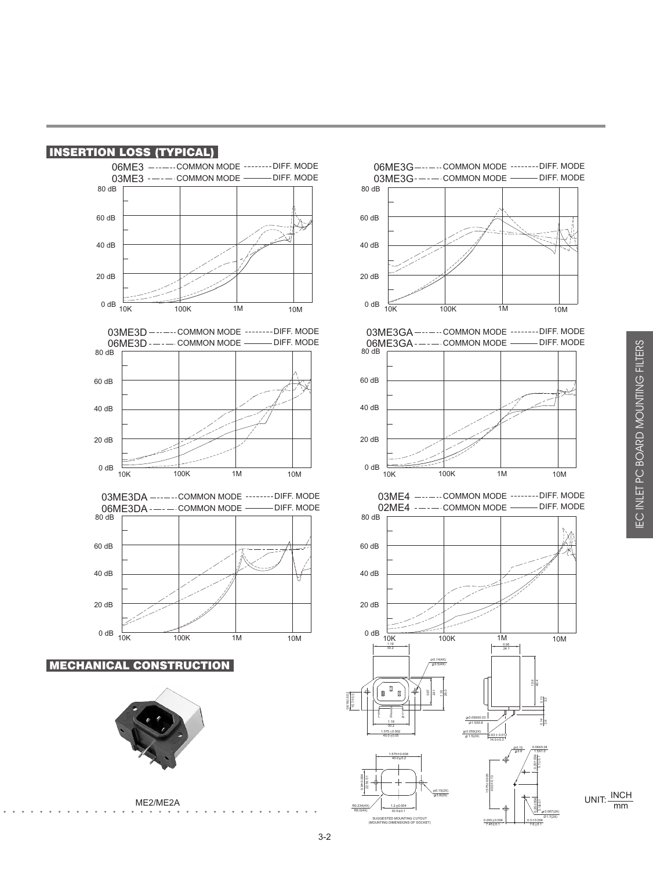



ME2/ME2A









06ME3G------COMMON MODE --------DIFF. MODE

DIFF. MODE

03ME3G-—-— COMMON MODE

60 dB

80 dB